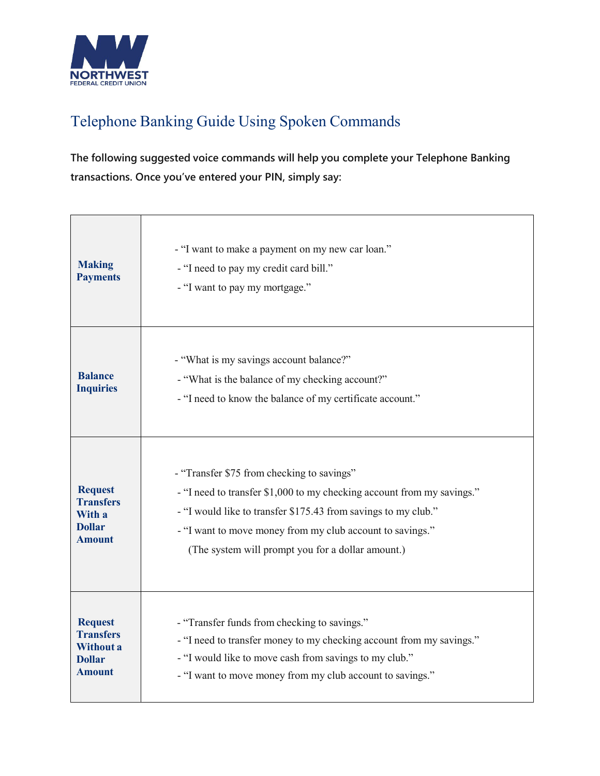

## Telephone Banking Guide Using Spoken Commands

**The following suggested voice commands will help you complete your Telephone Banking transactions. Once you've entered your PIN, simply say:**

| <b>Making</b><br><b>Payments</b>                                                  | - "I want to make a payment on my new car loan."<br>- "I need to pay my credit card bill."<br>- "I want to pay my mortgage."                                                                                                                                                                             |
|-----------------------------------------------------------------------------------|----------------------------------------------------------------------------------------------------------------------------------------------------------------------------------------------------------------------------------------------------------------------------------------------------------|
| <b>Balance</b><br><b>Inquiries</b>                                                | - "What is my savings account balance?"<br>- "What is the balance of my checking account?"<br>- "I need to know the balance of my certificate account."                                                                                                                                                  |
| <b>Request</b><br><b>Transfers</b><br>With a<br><b>Dollar</b><br><b>Amount</b>    | - "Transfer \$75 from checking to savings"<br>- "I need to transfer \$1,000 to my checking account from my savings."<br>- "I would like to transfer \$175.43 from savings to my club."<br>- "I want to move money from my club account to savings."<br>(The system will prompt you for a dollar amount.) |
| <b>Request</b><br><b>Transfers</b><br>Without a<br><b>Dollar</b><br><b>Amount</b> | - "Transfer funds from checking to savings."<br>- "I need to transfer money to my checking account from my savings."<br>- "I would like to move cash from savings to my club."<br>- "I want to move money from my club account to savings."                                                              |